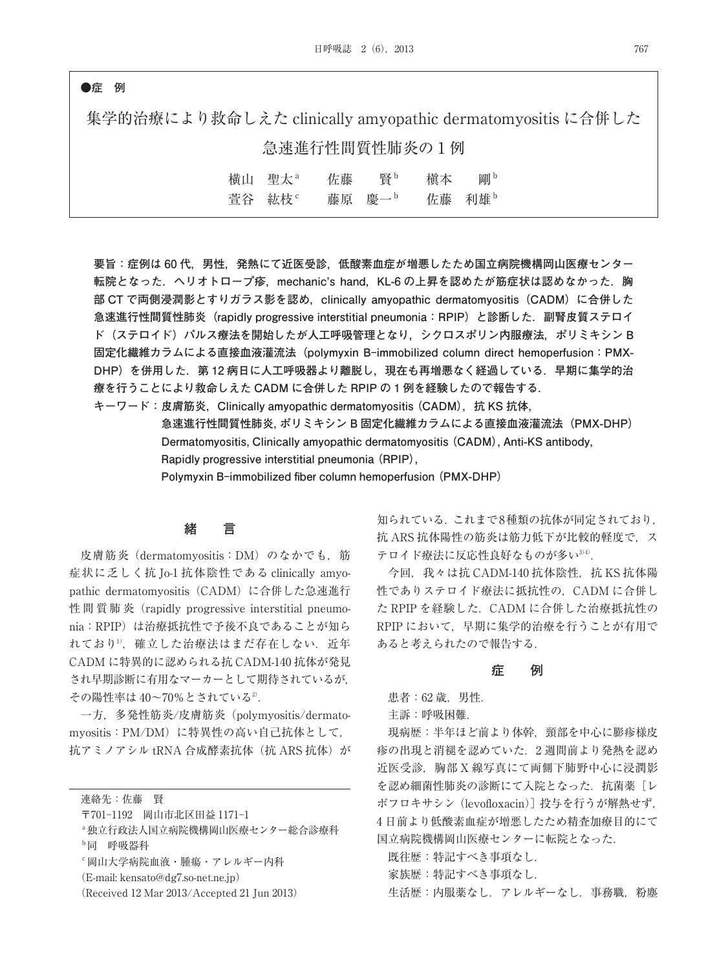### **●症 例**

集学的治療により救命しえた clinically amyopathic dermatomyositis に合併した 急速進行性間質性肺炎の 1 例

| 橫山 聖太 <sup>a</sup> | 佐藤 | 瞖                  | 槇本 | 剛り     |
|--------------------|----|--------------------|----|--------|
| 萱谷 紘枝 <sup>。</sup> |    | 藤原 慶一 <sup>。</sup> |    | 佐藤 利雄。 |

**要旨:症例は 60 代,男性,発熱にて近医受診,低酸素血症が増悪したため国立病院機構岡山医療センター** 転院となった. ヘリオトロープ疹, mechanic's hand, KL-6 の上昇を認めたが筋症状は認めなかった. 胸 **部 CT で両側浸潤影とすりガラス影を認め,clinically amyopathic dermatomyositis(CADM)に合併した 急速進行性間質性肺炎(rapidly progressive interstitial pneumonia:RPIP)と診断した.副腎皮質ステロイ ド(ステロイド)パルス療法を開始したが人工呼吸管理となり,シクロスポリン内服療法,ポリミキシン B 固定化繊維カラムによる直接血液灌流法(polymyxin B-immobilized column direct hemoperfusion:PMX-DHP)を併用した.第 12 病日に人工呼吸器より離脱し,現在も再増悪なく経過している.早期に集学的治 療を行うことにより救命しえた CADM に合併した RPIP の 1 例を経験したので報告する.**

**キーワード: 皮膚筋炎, Clinically amyopathic dermatomyositis (CADM), 抗 KS 抗体,** 

**急速進行性間質性肺炎,ポリミキシン B 固定化繊維カラムによる直接血液灌流法(PMX-DHP) Dermatomyositis, Clinically amyopathic dermatomyositis (CADM), Anti-KS antibody, Rapidly progressive interstitial pneumonia (RPIP),** 

**Polymyxin B-immobilized fiber column hemoperfusion (PMX-DHP)**

## **緒 言**

皮膚筋炎 (dermatomyositis: DM) のなかでも,筋 症状に乏しく抗 Jo-1 抗体陰性である clinically amyopathic dermatomyositis (CADM) に合併した急速進行 性間質肺炎 (rapidly progressive interstitial pneumonia:RPIP)は治療抵抗性で予後不良であることが知ら れており1, 確立した治療法はまだ存在しない. 近年 CADM に特異的に認められる抗 CADM-140 抗体が発見 され早期診断に有用なマーカーとして期待されているが, その陽性率は 40~70%とされている<sup>2)</sup>.

一方,多発性筋炎/皮膚筋炎(polymyositis/dermatomyositis:PM/DM)に特異性の高い自己抗体として, 抗アミノアシル tRNA 合成酵素抗体(抗 ARS 抗体)が

連絡先:佐藤 賢

- 〒701-1192 岡山市北区田益 1171-1
- a独立行政法人国立病院機構岡山医療センター総合診療科 b同 呼吸器科
- c岡山大学病院血液・腫瘍・アレルギー内科
- (E-mail: kensato@dg7.so-net.ne.jp)
- (Received 12 Mar 2013/Accepted 21 Jun 2013)

知られている.これまで8種類の抗体が同定されており. 抗 ARS 抗体陽性の筋炎は筋力低下が比較的軽度で、ス テロイド療法に反応性良好なものが多い<sup>3/4)</sup>.

今回, 我々は抗 CADM-140 抗体陰性, 抗 KS 抗体陽 性でありステロイド療法に抵抗性の,CADM に合併し た RPIP を経験した. CADM に合併した治療抵抗性の RPIP において,早期に集学的治療を行うことが有用で あると考えられたので報告する.

#### **症 例**

患者: 62 歳. 男性.

主訴:呼吸困難.

現病歴:半年ほど前より体幹,頸部を中心に膨疹様皮 疹の出現と消褪を認めていた.2 週間前より発熱を認め 近医受診,胸部 X 線写真にて両側下肺野中心に浸潤影 を認め細菌性肺炎の診断にて入院となった. 抗菌薬 [レ ボフロキサシン(levofloxacin)]投与を行うが解熱せず, 4 日前より低酸素血症が増悪したため精査加療目的にて 国立病院機構岡山医療センターに転院となった.

既往歴:特記すべき事項なし.

家族歴:特記すべき事項なし.

生活歴:内服薬なし. アレルギーなし. 事務職, 粉塵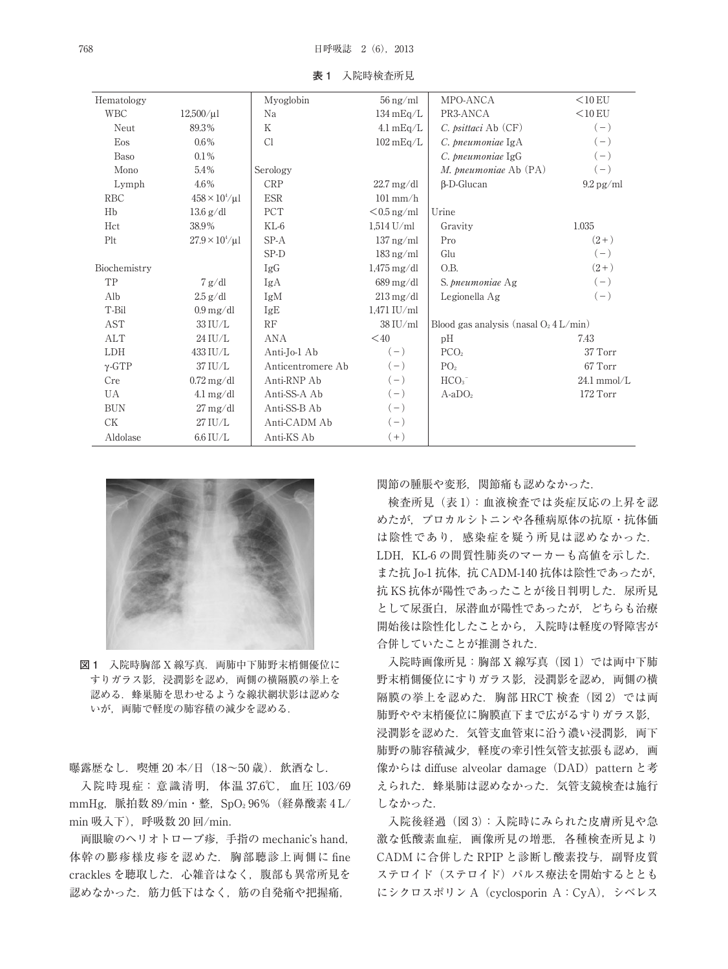| Hematology    |                                 | Myoglobin         | $56 \,\mathrm{ng/ml}$             | MPO-ANCA                                 | $<$ 10 EU              |
|---------------|---------------------------------|-------------------|-----------------------------------|------------------------------------------|------------------------|
| <b>WBC</b>    | $12,500/\mu$ l                  | Na                | $134 \text{ mEq/L}$               | PR3-ANCA                                 | $<$ 10 EU              |
| Neut          | 89.3%                           | K                 | $4.1 \text{ mEq/L}$               | $C.$ <i>psittaci</i> Ab $(CF)$           | $(-)$                  |
| Eos           | 0.6%                            | Cl                | $102 \text{ mEq/L}$               | C. pneumoniae IgA                        | $(-)$                  |
| <b>Baso</b>   | $0.1\%$                         |                   |                                   | C. pneumoniae IgG                        | $(-)$                  |
| Mono          | 5.4%                            | Serology          |                                   | M. pneumoniae Ab (PA)                    | $(-)$                  |
| Lymph         | 4.6%                            | <b>CRP</b>        | $22.7 \,\mathrm{mg/dl}$           | $\beta$ -D-Glucan                        | $9.2 \,\mathrm{pg/ml}$ |
| <b>RBC</b>    | $458 \times 10^4/\mu$ l         | <b>ESR</b>        | $101$ mm/h                        |                                          |                        |
| Hb            | $13.6 \text{ g}/\text{d}l$      | PCT               | $< 0.5$ ng/ml                     | Urine                                    |                        |
| Hct           | 38.9%                           | KL-6              | $1.514$ U/ml                      | Gravity                                  | 1.035                  |
| Plt           | $27.9 \times 10^4/\mu l$        | $SP-A$            | $137 \text{ ng/ml}$               | Pro                                      | $(2+)$                 |
|               |                                 | SP-D              | $183$ ng/ml                       | Glu                                      | $(-)$                  |
| Biochemistry  |                                 | IgG               | $1,475 \,\mathrm{mg}/\mathrm{dl}$ | O.B.                                     | $(2+)$                 |
| TP            | 7 g/dl                          | IgA               | $689 \,\mathrm{mg}/\mathrm{dl}$   | S. pneumoniae Ag                         | $(-)$                  |
| Alb           | $2.5$ g/dl                      | IgM               | $213 \,\mathrm{mg}/\mathrm{dl}$   | Legionella Ag                            | $(-)$                  |
| T-Bil         | $0.9 \,\mathrm{mg}/\mathrm{dl}$ | IgE               | $1.471$ IU/ml                     |                                          |                        |
| <b>AST</b>    | 33 IU/L                         | RF                | $38$ IU/ml                        | Blood gas analysis (nasal $O_2$ 4 L/min) |                        |
| ALT           | 24 IU/L                         | ANA               | $<$ 40                            | pH                                       | 7.43                   |
| <b>LDH</b>    | 433 IU/L                        | Anti-Jo-1 Ab      | $(-)$                             | PCO <sub>2</sub>                         | 37 Torr                |
| $\gamma$ -GTP | 37 IU/L                         | Anticentromere Ab | $(-)$                             | PO <sub>2</sub>                          | 67 Torr                |
| Cre           | $0.72 \,\mathrm{mg/dl}$         | Anti-RNP Ab       | $(-)$                             | HCO <sub>3</sub>                         | $24.1$ mmol/L          |
| UA            | $4.1 \text{ mg/dl}$             | Anti-SS-A Ab      | $(-)$                             | $A-aDO2$                                 | 172 Torr               |
| <b>BUN</b>    | $27 \,\mathrm{mg/dl}$           | Anti-SS-B Ab      | $(-)$                             |                                          |                        |
| <b>CK</b>     | 27 IU/L                         | Anti-CADM Ab      | $(-)$                             |                                          |                        |
| Aldolase      | $6.6$ IU/L                      | Anti-KS Ab        | $(+)$                             |                                          |                        |

**表 1** 入院時検査所見



図 1 入院時胸部 X 線写真. 両肺中下肺野末梢側優位に すりガラス影,浸潤影を認め,両側の横隔膜の挙上を 認める.蜂巣肺を思わせるような線状網状影は認めな いが,両肺で軽度の肺容積の減少を認める.

曝露歴なし. 喫煙 20 本/日 (18~50歳). 飲酒なし.

入院時現症:意識清明,体温 37.6℃,血圧 103/69 mmHg, 脈拍数 89/min・整, SpO<sub>2</sub> 96% (経鼻酸素 4 L/ min 吸入下), 呼吸数 20 回/min.

両眼瞼のヘリオトロープ疹,手指の mechanic's hand, 体幹の膨疹様皮疹を認めた.胸部聴診上両側に fine crackles を聴取した. 心雑音はなく, 腹部も異常所見を 認めなかった. 筋力低下はなく、筋の自発痛や把握痛,

関節の腫脹や変形,関節痛も認めなかった.

検査所見(表 1):血液検査では炎症反応の上昇を認 めたが,プロカルシトニンや各種病原体の抗原・抗体価 は陰性であり、感染症を疑う所見は認めなかった. LDH, KL-6 の間質性肺炎のマーカーも高値を示した. また抗 Jo-1 抗体,抗 CADM-140 抗体は陰性であったが, 抗 KS 抗体が陽性であったことが後日判明した. 尿所見 として尿蛋白,尿潜血が陽性であったが,どちらも治療 開始後は陰性化したことから,入院時は軽度の腎障害が 合併していたことが推測された.

入院時画像所見:胸部 X 線写真 (図 1) では両中下肺 野末梢側優位にすりガラス影,浸潤影を認め,両側の横 隔膜の挙上を認めた. 胸部 HRCT 検査(図2)では両 肺野やや末梢優位に胸膜直下まで広がるすりガラス影, 浸潤影を認めた.気管支血管束に沿う濃い浸潤影,両下 肺野の肺容積減少,軽度の牽引性気管支拡張も認め,画 像からは diffuse alveolar damage (DAD) pattern と考 えられた.蜂巣肺は認めなかった.気管支鏡検査は施行 しなかった.

入院後経過(図3):入院時にみられた皮膚所見や急 激な低酸素血症,画像所見の増悪,各種検査所見より CADM に合併した RPIP と診断し酸素投与, 副腎皮質 ステロイド(ステロイド)パルス療法を開始するととも にシクロスポリン A(cyclosporin A:CyA),シベレス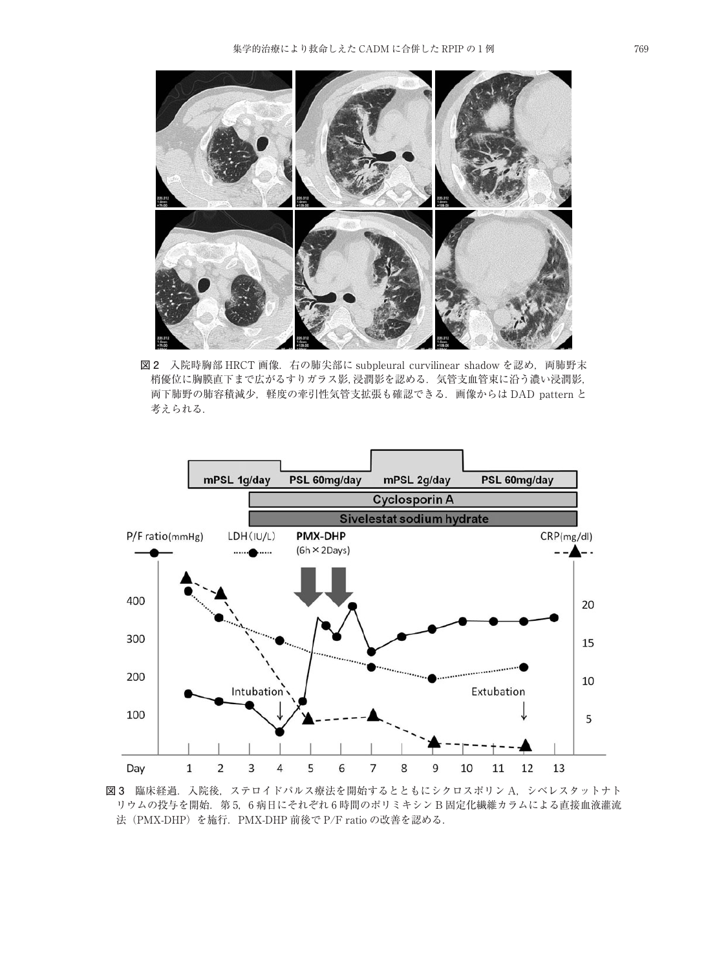

**図 2** 入院時胸部 HRCT 画像.右の肺尖部に subpleural curvilinear shadow を認め,両肺野末 梢優位に胸膜直下まで広がるすりガラス影,浸潤影を認める.気管支血管束に沿う濃い浸潤影, 両下肺野の肺容積減少,軽度の牽引性気管支拡張も確認できる.画像からは DAD pattern と 考えられる.



**図 3** 臨床経過.入院後,ステロイドパルス療法を開始するとともにシクロスポリン A,シベレスタットナト リウムの投与を開始.第 5,6 病日にそれぞれ 6 時間のポリミキシン B 固定化繊維カラムによる直接血液灌流 法(PMX-DHP)を施行.PMX-DHP 前後で P/F ratio の改善を認める.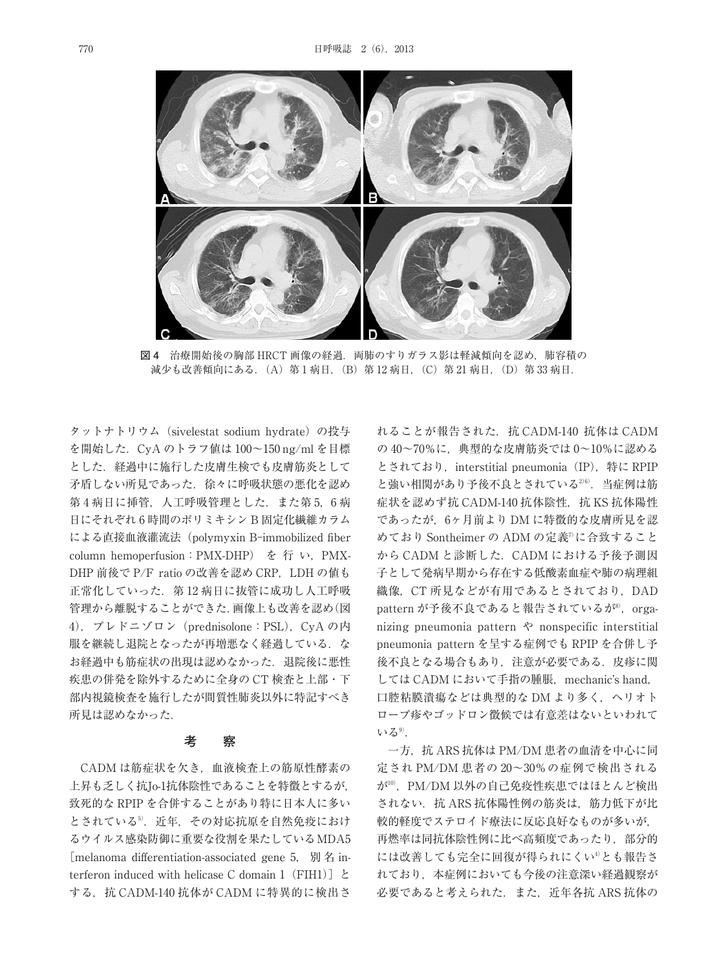

**図 4** 治療開始後の胸部 HRCT 画像の経過.両肺のすりガラス影は軽減傾向を認め,肺容積の 減少も改善傾向にある. (A) 第 1 病日, (B) 第 12 病日, (C) 第 21 病日, (D) 第 33 病日.

タットナトリウム(sivelestat sodium hydrate)の投与 を開始した.CyA のトラフ値は 100~150 ng/ml を目標 とした.経過中に施行した皮膚生検でも皮膚筋炎として 矛盾しない所見であった.徐々に呼吸状態の悪化を認め 第4病日に挿管,人工呼吸管理とした. また第5,6病 日にそれぞれ 6 時間のポリミキシン B 固定化繊維カラム による直接血液灌流法(polymyxin B-immobilized fiber column hemoperfusion:PMX-DHP) を 行 い,PMX-DHP 前後で P/F ratio の改善を認め CRP, LDH の値も 正常化していった.第 12 病日に抜管に成功し人工呼吸 管理から離脱することができた.画像上も改善を認め(図 4), プレドニゾロン (prednisolone: PSL), CyA の内 服を継続し退院となったが再増悪なく経過している. な お経過中も筋症状の出現は認めなかった. 退院後に悪性 疾患の併発を除外するために全身の CT 検査と上部・下 部内視鏡検査を施行したが間質性肺炎以外に特記すべき 所見は認めなかった.

#### **考 察**

CADM は筋症状を欠き,血液検査上の筋原性酵素の 上昇も乏しく抗Jo-1抗体陰性であることを特徴とするが, 致死的な RPIP を合併することがあり特に日本人に多い とされている5. 近年, その対応抗原を自然免疫におけ るウイルス感染防御に重要な役割を果たしているMDA5 [melanoma differentiation-associated gene 5. 別名 interferon induced with helicase C domain 1 (FIH1)]  $\geq$ する,抗 CADM-140 抗体が CADM に特異的に検出さ

れることが報告された. 抗 CADM-140 抗体は CADM の 40~70%に,典型的な皮膚筋炎では 0~10%に認める とされており, interstitial pneumonia (IP), 特に RPIP と強い相関があり予後不良とされている<sup>26)</sup>. 当症例は筋 症状を認めず抗 CADM-140 抗体陰性,抗 KS 抗体陽性 であったが,6ヶ月前より DM に特徴的な皮膚所見を認 めており Sontheimer の ADM の定義7) に合致すること から CADM と診断した.CADM における予後予測因 子として発病早期から存在する低酸素血症や肺の病理組 織像, CT 所見などが有用であるとされており, DAD pattern が予後不良であると報告されているが<sup>8)</sup>,organizing pneumonia pattern や nonspecific interstitial pneumonia pattern を呈する症例でも RPIP を合併し予 後不良となる場合もあり, 注意が必要である. 皮疹に関 しては CADM において手指の腫脹, mechanic's hand, 口腔粘膜潰瘍などは典型的な DM より多く,ヘリオト ロープ疹やゴッドロン徴候では有意差はないといわれて いる<sup>9)</sup>.

一方, 抗 ARS 抗体は PM/DM 患者の血清を中心に同 定され PM/DM 患者の 20~30%の症例で検出される が10) ,PM/DM 以外の自己免疫性疾患ではほとんど検出 されない. 抗 ARS 抗体陽性例の筋炎は、筋力低下が比 較的軽度でステロイド療法に反応良好なものが多いが, 再燃率は同抗体陰性例に比べ高頻度であったり、部分的 には改善しても完全に回復が得られにくい<sup>4)</sup>とも報告さ れており,本症例においても今後の注意深い経過観察が 必要であると考えられた. また、近年各抗 ARS 抗体の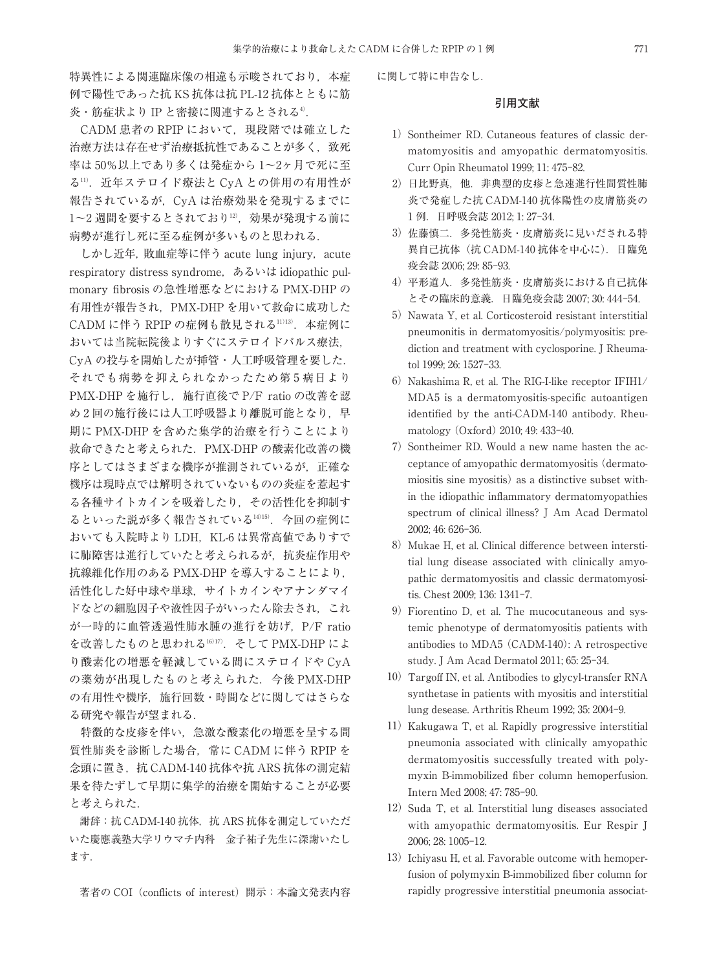特異性による関連臨床像の相違も示唆されており、本症 例で陽性であった抗 KS 抗体は抗 PL-12 抗体とともに筋 炎・筋症状より IP と密接に関連するとされる<del>"</del>.

CADM 患者の RPIP において、現段階では確立した 治療方法は存在せず治療抵抗性であることが多く、致死 率は 50%以上であり多くは発症から 1~2ヶ月で死に至 る11) .近年ステロイド療法と CyA との併用の有用性が 報告されているが,CyA は治療効果を発現するまでに 1~2 週間を要するとされており<sup>12)</sup>,効果が発現する前に 病勢が進行し死に至る症例が多いものと思われる.

しかし近年, 敗血症等に伴う acute lung injury, acute respiratory distress syndrome,あるいは idiopathic pulmonary fibrosis の急性増悪などにおける PMX-DHP の 有用性が報告され,PMX-DHP を用いて救命に成功した CADM に伴う RPIP の症例も散見される11)13) .本症例に おいては当院転院後よりすぐにステロイドパルス療法, CyA の投与を開始したが挿管・人工呼吸管理を要した. それでも病勢を抑えられなかったため第5病日より PMX-DHP を施行し、施行直後で P/F ratio の改善を認 め2回の施行後には人工呼吸器より離脱可能となり、早 期に PMX-DHP を含めた集学的治療を行うことにより 救命できたと考えられた.PMX-DHP の酸素化改善の機 序としてはさまざまな機序が推測されているが,正確な 機序は現時点では解明されていないものの炎症を惹起す る各種サイトカインを吸着したり,その活性化を抑制す るといった説が多く報告されている14)15) .今回の症例に おいても入院時より LDH, KL-6 は異常高値でありすで に肺障害は進行していたと考えられるが、抗炎症作用や 抗線維化作用のある PMX-DHP を導入することにより, 活性化した好中球や単球,サイトカインやアナンダマイ ドなどの細胞因子や液性因子がいったん除去され,これ が一時的に血管透過性肺水腫の進行を妨げ,P/F ratio を改善したものと思われる16)17) .そして PMX-DHP によ り酸素化の増悪を軽減している間にステロイドや CyA の薬効が出現したものと考えられた.今後 PMX-DHP の有用性や機序,施行回数・時間などに関してはさらな る研究や報告が望まれる.

特徴的な皮疹を伴い,急激な酸素化の増悪を呈する間 質性肺炎を診断した場合,常に CADM に伴う RPIP を 念頭に置き,抗 CADM-140 抗体や抗 ARS 抗体の測定結 果を待たずして早期に集学的治療を開始することが必要 と考えられた.

謝辞:抗 CADM-140 抗体,抗 ARS 抗体を測定していただ いた慶應義塾大学リウマチ内科 金子祐子先生に深謝いたし ます.

著者の COI (conflicts of interest) 開示: 本論文発表内容

に関して特に申告なし.

### **引用文献**

- 1) Sontheimer RD. Cutaneous features of classic dermatomyositis and amyopathic dermatomyositis. Curr Opin Rheumatol 1999; 11: 475-82.
- 2) 日比野真, 他. 非典型的皮疹と急速進行性間質性肺 炎で発症した抗 CADM-140 抗体陽性の皮膚筋炎の 1 例.日呼吸会誌 2012; 1: 27-34.
- 3)佐藤慎二.多発性筋炎・皮膚筋炎に見いだされる特 異自己抗体(抗 CADM-140 抗体を中心に).日臨免 疫会誌 2006; 29: 85-93.
- 4)平形道人.多発性筋炎・皮膚筋炎における自己抗体 とその臨床的意義.日臨免疫会誌 2007; 30: 444-54.
- 5) Nawata Y, et al. Corticosteroid resistant interstitial pneumonitis in dermatomyositis/polymyositis: prediction and treatment with cyclosporine. J Rheumatol 1999; 26: 1527-33.
- 6) Nakashima R, et al. The RIG-I-like receptor  $IFHH1/$ MDA5 is a dermatomyositis-specific autoantigen identified by the anti-CADM-140 antibody. Rheumatology(Oxford)2010; 49: 433-40.
- 7) Sontheimer RD. Would a new name hasten the acceptance of amyopathic dermatomyositis(dermatomiositis sine myositis) as a distinctive subset within the idiopathic inflammatory dermatomyopathies spectrum of clinical illness? J Am Acad Dermatol 2002; 46: 626-36.
- 8) Mukae H, et al. Clinical difference between interstitial lung disease associated with clinically amyopathic dermatomyositis and classic dermatomyositis. Chest 2009; 136: 1341-7.
- 9)Fiorentino D, et al. The mucocutaneous and systemic phenotype of dermatomyositis patients with antibodies to MDA5(CADM-140): A retrospective study. J Am Acad Dermatol 2011; 65: 25-34.
- 10)Targoff IN, et al. Antibodies to glycyl-transfer RNA synthetase in patients with myositis and interstitial lung desease. Arthritis Rheum 1992; 35: 2004-9.
- 11) Kakugawa T, et al. Rapidly progressive interstitial pneumonia associated with clinically amyopathic dermatomyositis successfully treated with polymyxin B-immobilized fiber column hemoperfusion. Intern Med 2008; 47: 785-90.
- 12) Suda T, et al. Interstitial lung diseases associated with amyopathic dermatomyositis. Eur Respir J 2006; 28: 1005-12.
- 13) Ichiyasu H, et al. Favorable outcome with hemoperfusion of polymyxin B-immobilized fiber column for rapidly progressive interstitial pneumonia associat-